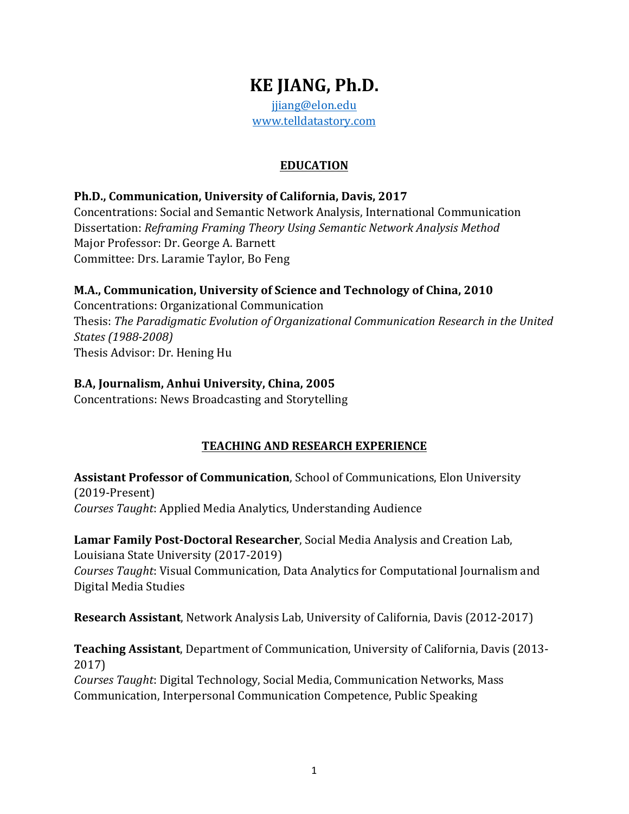# **KE JIANG, Ph.D.** jjiang@elon.edu

www.telldatastory.com

# **EDUCATION**

### **Ph.D., Communication, University of California, Davis, 2017**

Concentrations: Social and Semantic Network Analysis, International Communication Dissertation: *Reframing Framing Theory Using Semantic Network Analysis Method* Major Professor: Dr. George A. Barnett Committee: Drs. Laramie Taylor, Bo Feng

### **M.A., Communication, University of Science and Technology of China, 2010**

Concentrations: Organizational Communication Thesis: The Paradigmatic Evolution of Organizational Communication Research in the United *States (1988-2008)* Thesis Advisor: Dr. Hening Hu

### B.A, Journalism, Anhui University, China, 2005

Concentrations: News Broadcasting and Storytelling

# **TEACHING AND RESEARCH EXPERIENCE**

**Assistant Professor of Communication**, School of Communications, Elon University (2019-Present) *Courses Taught*: Applied Media Analytics, Understanding Audience

Lamar Family Post-Doctoral Researcher, Social Media Analysis and Creation Lab, Louisiana State University (2017-2019)

*Courses Taught*: Visual Communication, Data Analytics for Computational Journalism and Digital Media Studies

**Research Assistant**, Network Analysis Lab, University of California, Davis (2012-2017)

**Teaching Assistant**, Department of Communication, University of California, Davis (2013-2017)

*Courses Taught*: Digital Technology, Social Media, Communication Networks, Mass Communication, Interpersonal Communication Competence, Public Speaking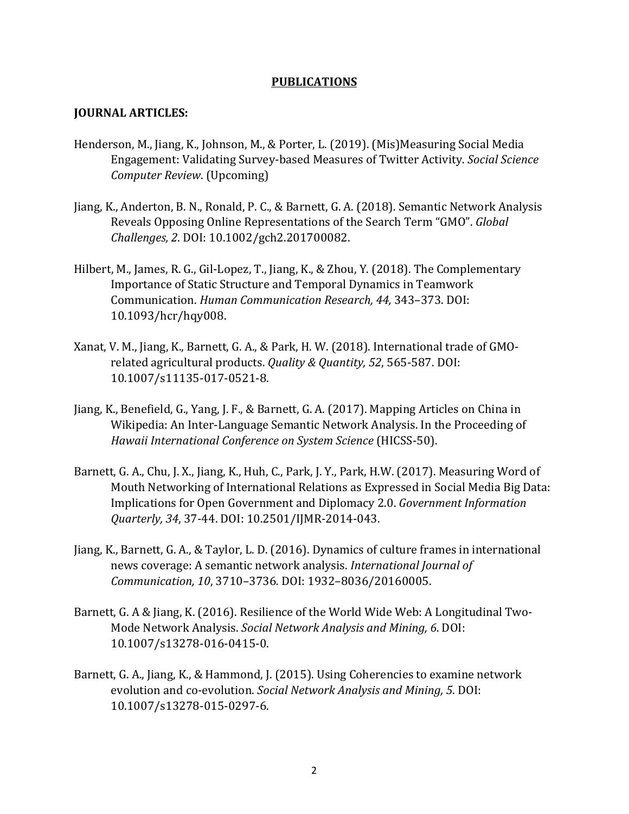#### **PUBLICATIONS**

#### **JOURNAL ARTICLES:**

- Henderson, M., Jiang, K., Johnson, M., & Porter, L. (2019). (Mis)Measuring Social Media Engagement: Validating Survey-based Measures of Twitter Activity. *Social Science Computer Review*. (Upcoming)
- Jiang, K., Anderton, B. N., Ronald, P. C., & Barnett, G. A. (2018). Semantic Network Analysis Reveals Opposing Online Representations of the Search Term "GMO". *Global Challenges, 2*. DOI: 10.1002/gch2.201700082.
- Hilbert, M., James, R. G., Gil-Lopez, T., Jiang, K., & Zhou, Y. (2018). The Complementary Importance of Static Structure and Temporal Dynamics in Teamwork Communication. *Human Communication Research, 44,* 343–373. DOI: 10.1093/hcr/hqy008.
- Xanat, V. M., Jiang, K., Barnett, G. A., & Park, H. W. (2018). International trade of GMOrelated agricultural products. *Quality & Quantity, 52, 565-587. DOI:* 10.1007/s11135-017-0521-8.
- Jiang, K., Benefield, G., Yang, J. F., & Barnett, G. A. (2017). Mapping Articles on China in Wikipedia: An Inter-Language Semantic Network Analysis. In the Proceeding of Hawaii International Conference on System Science (HICSS-50).
- Barnett, G. A., Chu, J. X., Jiang, K., Huh, C., Park, J. Y., Park, H.W. (2017). Measuring Word of Mouth Networking of International Relations as Expressed in Social Media Big Data: Implications for Open Government and Diplomacy 2.0. *Government Information Quarterly, 34*, 37-44. DOI: 10.2501/IJMR-2014-043.
- Jiang, K., Barnett, G. A., & Taylor, L. D. (2016). Dynamics of culture frames in international news coverage: A semantic network analysis. *International Journal of Communication, 10*, 3710–3736*.* DOI: 1932–8036/20160005.
- Barnett, G. A & Jiang, K. (2016). Resilience of the World Wide Web: A Longitudinal Two-Mode Network Analysis. *Social Network Analysis and Mining, 6. DOI:* 10.1007/s13278-016-0415-0.
- Barnett, G. A., Jiang, K., & Hammond, J. (2015). Using Coherencies to examine network evolution and co-evolution. *Social Network Analysis and Mining, 5. DOI:* 10.1007/s13278-015-0297-6.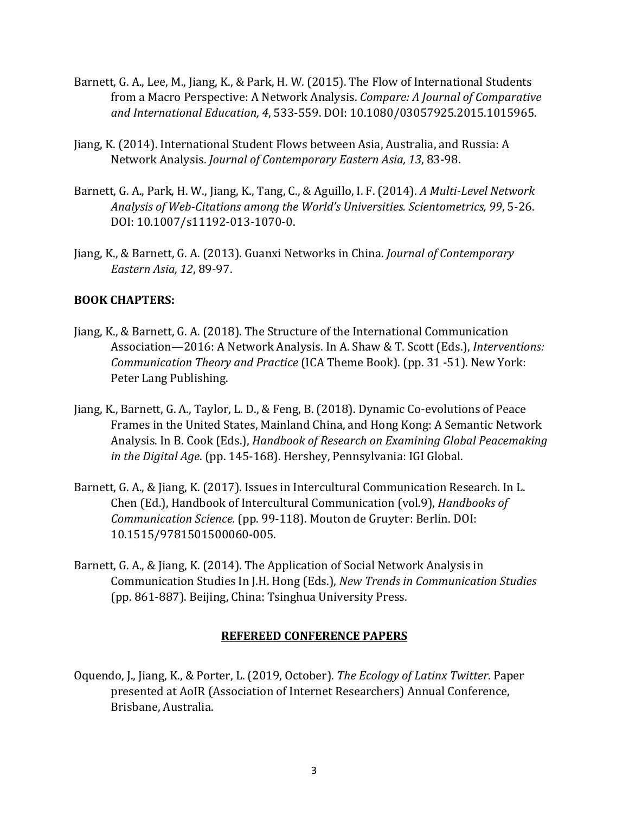- Barnett, G. A., Lee, M., Jiang, K., & Park, H. W. (2015). The Flow of International Students from a Macro Perspective: A Network Analysis. *Compare: A Journal of Comparative* and International Education, 4, 533-559. DOI: 10.1080/03057925.2015.1015965.
- Jiang, K. (2014). International Student Flows between Asia, Australia, and Russia: A Network Analysis. *Journal of Contemporary Eastern Asia, 13, 83-98.*
- Barnett, G. A., Park, H. W., Jiang, K., Tang, C., & Aguillo, I. F. (2014). *A Multi-Level Network* Analysis of Web-Citations among the World's Universities. Scientometrics, 99, 5-26. DOI: 10.1007/s11192-013-1070-0.
- Jiang, K., & Barnett, G. A. (2013). Guanxi Networks in China. *Journal of Contemporary Eastern Asia, 12*, 89-97.

### **BOOK CHAPTERS:**

- Jiang, K., & Barnett, G. A. (2018). The Structure of the International Communication Association—2016: A Network Analysis. In A. Shaw & T. Scott (Eds.), *Interventions: Communication Theory and Practice* (ICA Theme Book). (pp. 31 -51). New York: Peter Lang Publishing.
- Jiang, K., Barnett, G. A., Taylor, L. D., & Feng, B. (2018). Dynamic Co-evolutions of Peace Frames in the United States, Mainland China, and Hong Kong: A Semantic Network Analysis. In B. Cook (Eds.), *Handbook of Research on Examining Global Peacemaking in the Digital Age.* (pp. 145-168). Hershey, Pennsylvania: IGI Global.
- Barnett, G. A., & Jiang, K. (2017). Issues in Intercultural Communication Research. In L. Chen (Ed.), Handbook of Intercultural Communication (vol.9), *Handbooks of Communication Science.* (pp. 99-118). Mouton de Gruyter: Berlin. DOI: 10.1515/9781501500060-005.
- Barnett, G. A., & Jiang, K. (2014). The Application of Social Network Analysis in Communication Studies In J.H. Hong (Eds.), *New Trends in Communication Studies* (pp. 861-887). Beijing, China: Tsinghua University Press.

#### **REFEREED CONFERENCE PAPERS**

Oquendo, J., Jiang, K., & Porter, L. (2019, October). *The Ecology of Latinx Twitter*. Paper presented at AoIR (Association of Internet Researchers) Annual Conference, Brisbane, Australia.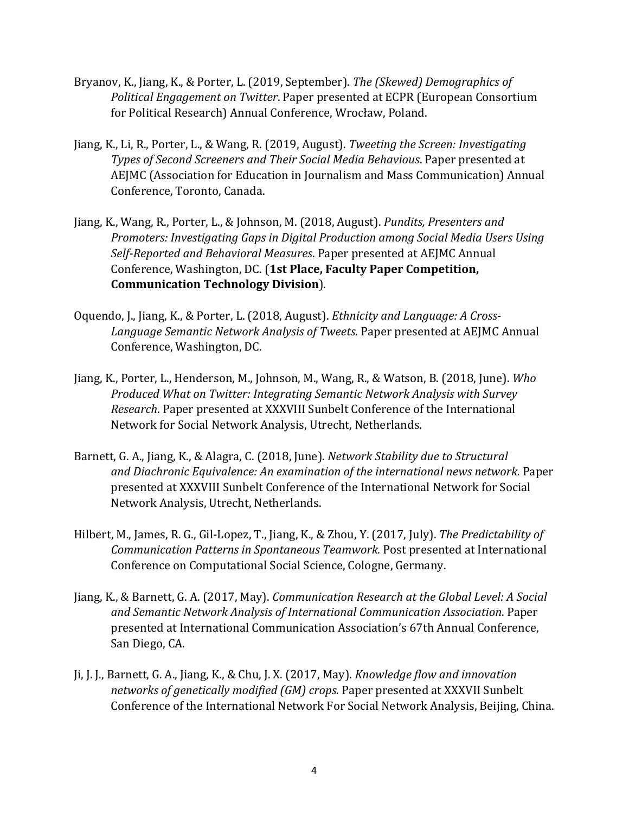- Bryanov, K., Jiang, K., & Porter, L. (2019, September). *The (Skewed) Demographics of Political Engagement on Twitter*. Paper presented at ECPR (European Consortium for Political Research) Annual Conference, Wrocław, Poland.
- Jiang, K., Li, R., Porter, L., & Wang, R. (2019, August). *Tweeting the Screen: Investigating* **Types of Second Screeners and Their Social Media Behavious. Paper presented at** AEJMC (Association for Education in Journalism and Mass Communication) Annual Conference, Toronto, Canada.
- Jiang, K., Wang, R., Porter, L., & Johnson, M. (2018, August). *Pundits, Presenters and Promoters: Investigating Gaps in Digital Production among Social Media Users Using* Self-Reported and Behavioral Measures. Paper presented at AEJMC Annual Conference, Washington, DC. (1st Place, Faculty Paper Competition, **Communication Technology Division**).
- Oquendo, J., Jiang, K., & Porter, L. (2018, August). *Ethnicity and Language: A Cross-*Language Semantic Network Analysis of Tweets. Paper presented at AEJMC Annual Conference, Washington, DC.
- Jiang, K., Porter, L., Henderson, M., Johnson, M., Wang, R., & Watson, B. (2018, June). Who *Produced What on Twitter: Integrating Semantic Network Analysis with Survey Research*. Paper presented at XXXVIII Sunbelt Conference of the International Network for Social Network Analysis, Utrecht, Netherlands.
- Barnett, G. A., Jiang, K., & Alagra, C. (2018, June). *Network Stability due to Structural* and Diachronic Equivalence: An examination of the international news network. Paper presented at XXXVIII Sunbelt Conference of the International Network for Social Network Analysis, Utrecht, Netherlands.
- Hilbert, M., James, R. G., Gil-Lopez, T., Jiang, K., & Zhou, Y. (2017, July). *The Predictability of Communication Patterns in Spontaneous Teamwork.* Post presented at International Conference on Computational Social Science, Cologne, Germany.
- Jiang, K., & Barnett, G. A. (2017, May). *Communication Research at the Global Level: A Social and Semantic Network Analysis of International Communication Association*. Paper presented at International Communication Association's 67th Annual Conference, San Diego, CA.
- Ji, J. J., Barnett, G. A., Jiang, K., & Chu, J. X. (2017, May). *Knowledge flow and innovation* networks of genetically modified (GM) crops. Paper presented at XXXVII Sunbelt Conference of the International Network For Social Network Analysis, Beijing, China.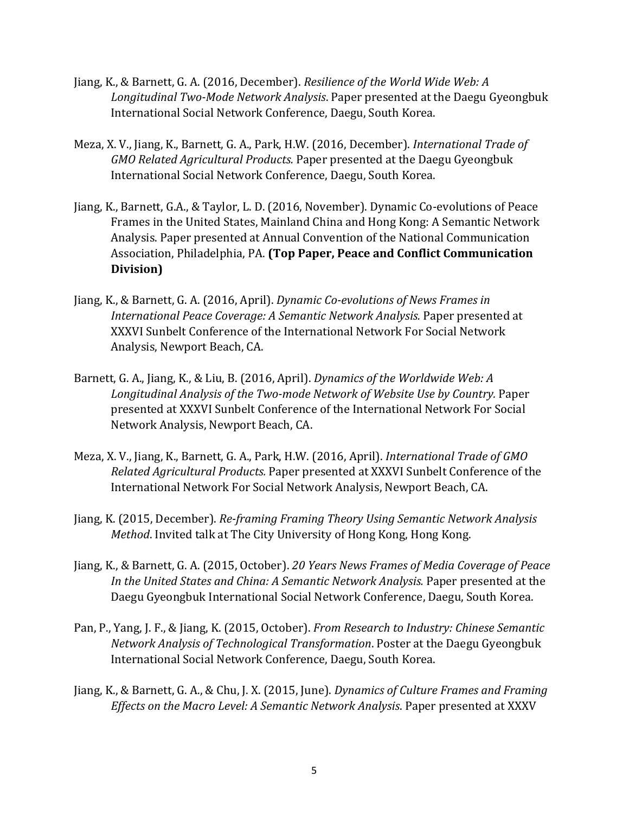- Jiang, K., & Barnett, G. A. (2016, December). *Resilience of the World Wide Web: A* Longitudinal Two-Mode Network Analysis. Paper presented at the Daegu Gyeongbuk International Social Network Conference, Daegu, South Korea.
- Meza, X. V., Jiang, K., Barnett, G. A., Park, H.W. (2016, December). *International Trade of* GMO Related Agricultural Products. Paper presented at the Daegu Gyeongbuk International Social Network Conference, Daegu, South Korea.
- Jiang, K., Barnett, G.A., & Taylor, L. D. (2016, November). Dynamic Co-evolutions of Peace Frames in the United States, Mainland China and Hong Kong: A Semantic Network Analysis. Paper presented at Annual Convention of the National Communication Association, Philadelphia, PA. (Top Paper, Peace and Conflict Communication **Division)**
- Jiang, K., & Barnett, G. A. (2016, April). *Dynamic Co-evolutions of News Frames in* International Peace Coverage: A Semantic Network Analysis. Paper presented at XXXVI Sunbelt Conference of the International Network For Social Network Analysis, Newport Beach, CA.
- Barnett, G. A., Jiang, K., & Liu, B. (2016, April). *Dynamics of the Worldwide Web: A* Longitudinal Analysis of the Two-mode Network of Website Use by Country. Paper presented at XXXVI Sunbelt Conference of the International Network For Social Network Analysis, Newport Beach, CA.
- Meza, X. V., Jiang, K., Barnett, G. A., Park, H.W. (2016, April). *International Trade of GMO Related Agricultural Products.* Paper presented at XXXVI Sunbelt Conference of the International Network For Social Network Analysis, Newport Beach, CA.
- Jiang, K. (2015, December). *Re-framing Framing Theory Using Semantic Network Analysis Method*. Invited talk at The City University of Hong Kong, Hong Kong.
- Jiang, K., & Barnett, G. A. (2015, October). 20 Years News Frames of Media Coverage of Peace In the United States and China: A Semantic Network Analysis. Paper presented at the Daegu Gyeongbuk International Social Network Conference, Daegu, South Korea.
- Pan, P., Yang, J. F., & Jiang, K. (2015, October). *From Research to Industry: Chinese Semantic Network Analysis of Technological Transformation*. Poster at the Daegu Gyeongbuk International Social Network Conference, Daegu, South Korea.
- Jiang, K., & Barnett, G. A., & Chu, J. X. (2015, June). *Dynamics of Culture Frames and Framing Effects on the Macro Level: A Semantic Network Analysis*. Paper presented at XXXV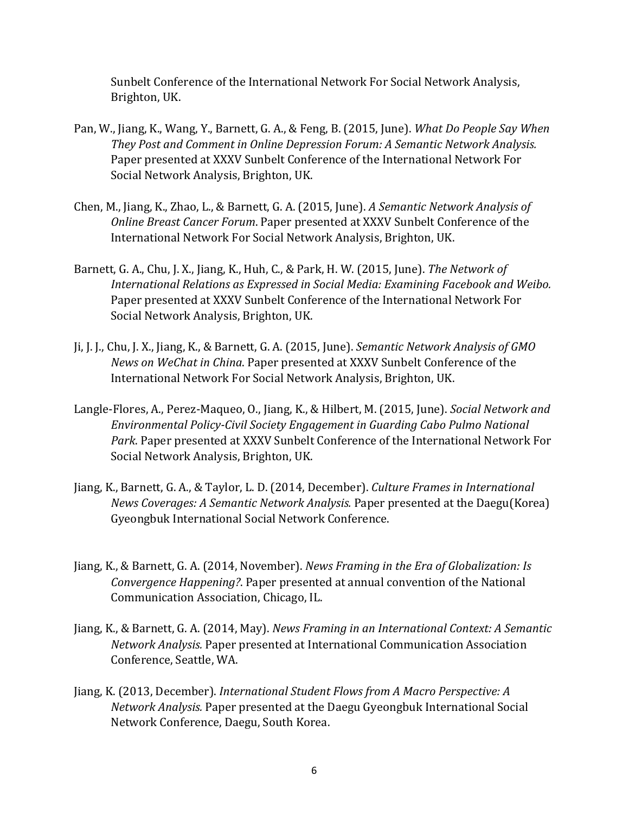Sunbelt Conference of the International Network For Social Network Analysis, Brighton, UK.

- Pan, W., Jiang, K., Wang, Y., Barnett, G. A., & Feng, B. (2015, June). *What Do People Say When* They Post and Comment in Online Depression Forum: A Semantic Network Analysis. Paper presented at XXXV Sunbelt Conference of the International Network For Social Network Analysis, Brighton, UK.
- Chen, M., Jiang, K., Zhao, L., & Barnett, G. A. (2015, June). A Semantic Network Analysis of *Online Breast Cancer Forum. Paper presented at XXXV Sunbelt Conference of the* International Network For Social Network Analysis, Brighton, UK.
- Barnett, G. A., Chu, J. X., Jiang, K., Huh, C., & Park, H. W. (2015, June). The Network of International Relations as Expressed in Social Media: Examining Facebook and Weibo. Paper presented at XXXV Sunbelt Conference of the International Network For Social Network Analysis, Brighton, UK.
- Ji, J. J., Chu, J. X., Jiang, K., & Barnett, G. A. (2015, June). *Semantic Network Analysis of GMO News* on WeChat in China. Paper presented at XXXV Sunbelt Conference of the International Network For Social Network Analysis, Brighton, UK.
- Langle-Flores, A., Perez-Maqueo, O., Jiang, K., & Hilbert, M. (2015, June). *Social Network and Environmental Policy-Civil Society Engagement in Guarding Cabo Pulmo National* Park. Paper presented at XXXV Sunbelt Conference of the International Network For Social Network Analysis, Brighton, UK.
- Jiang, K., Barnett, G. A., & Taylor, L. D. (2014, December). *Culture Frames in International News Coverages: A Semantic Network Analysis.* Paper presented at the Daegu(Korea) Gyeongbuk International Social Network Conference.
- Jiang, K., & Barnett, G. A. (2014, November). *News Framing in the Era of Globalization: Is Convergence Happening?*. Paper presented at annual convention of the National Communication Association, Chicago, IL.
- Jiang, K., & Barnett, G. A. (2014, May). *News Framing in an International Context: A Semantic Network Analysis.* Paper presented at International Communication Association Conference, Seattle, WA.
- Jiang, K. (2013, December). *International Student Flows from A Macro Perspective: A Network Analysis.* Paper presented at the Daegu Gyeongbuk International Social Network Conference, Daegu, South Korea.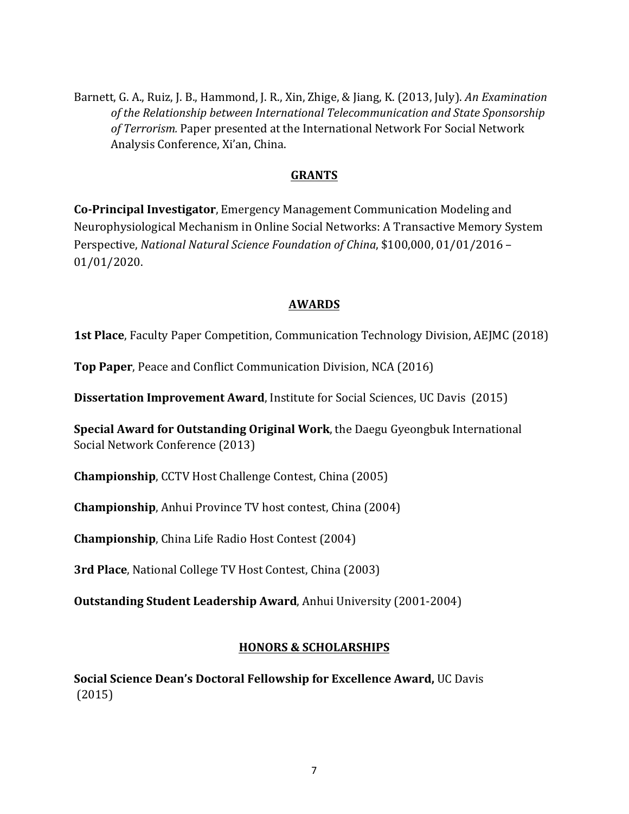Barnett, G. A., Ruiz, J. B., Hammond, J. R., Xin, Zhige, & Jiang, K. (2013, July). An Examination of the Relationship between International Telecommunication and State Sponsorship of Terrorism. Paper presented at the International Network For Social Network Analysis Conference, Xi'an, China.

#### **GRANTS**

**Co-Principal Investigator**, Emergency Management Communication Modeling and Neurophysiological Mechanism in Online Social Networks: A Transactive Memory System Perspective, *National Natural Science Foundation of China*, \$100,000, 01/01/2016 -01/01/2020. 

#### **AWARDS**

**1st Place**, Faculty Paper Competition, Communication Technology Division, AEJMC (2018)

**Top Paper**, Peace and Conflict Communication Division, NCA (2016)

**Dissertation Improvement Award**, Institute for Social Sciences, UC Davis (2015)

**Special Award for Outstanding Original Work**, the Daegu Gyeongbuk International Social Network Conference (2013)

**Championship**, CCTV Host Challenge Contest, China (2005)

**Championship**, Anhui Province TV host contest, China (2004)

**Championship**, China Life Radio Host Contest (2004)

**3rd Place**, National College TV Host Contest, China (2003)

**Outstanding Student Leadership Award**, Anhui University (2001-2004)

#### **HONORS & SCHOLARSHIPS**

**Social Science Dean's Doctoral Fellowship for Excellence Award, UC Davis** (2015)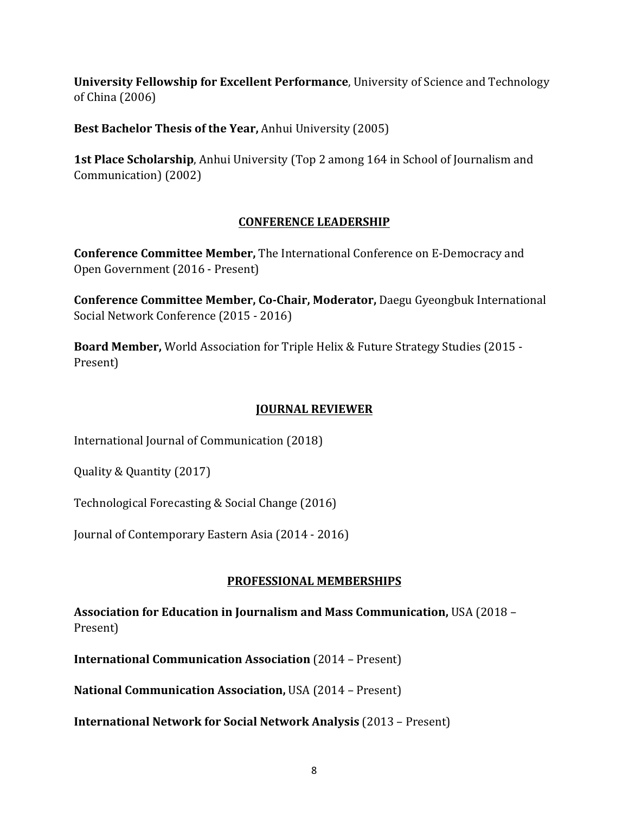**University Fellowship for Excellent Performance**, University of Science and Technology of China (2006)

**Best Bachelor Thesis of the Year, Anhui University (2005)** 

**1st Place Scholarship**, Anhui University (Top 2 among 164 in School of Journalism and Communication) (2002)

### **CONFERENCE LEADERSHIP**

**Conference Committee Member,** The International Conference on E-Democracy and Open Government (2016 - Present)

**Conference Committee Member, Co-Chair, Moderator, Daegu Gyeongbuk International** Social Network Conference (2015 - 2016)

**Board Member,** World Association for Triple Helix & Future Strategy Studies (2015 -Present)

## **JOURNAL REVIEWER**

International Journal of Communication (2018)

Quality & Quantity (2017)

Technological Forecasting & Social Change (2016)

Journal of Contemporary Eastern Asia (2014 - 2016)

# **PROFESSIONAL MEMBERSHIPS**

**Association for Education in Journalism and Mass Communication, USA (2018 –** Present)

**International Communication Association** (2014 – Present)

**National Communication Association, USA (2014 – Present)** 

**International Network for Social Network Analysis** (2013 – Present)